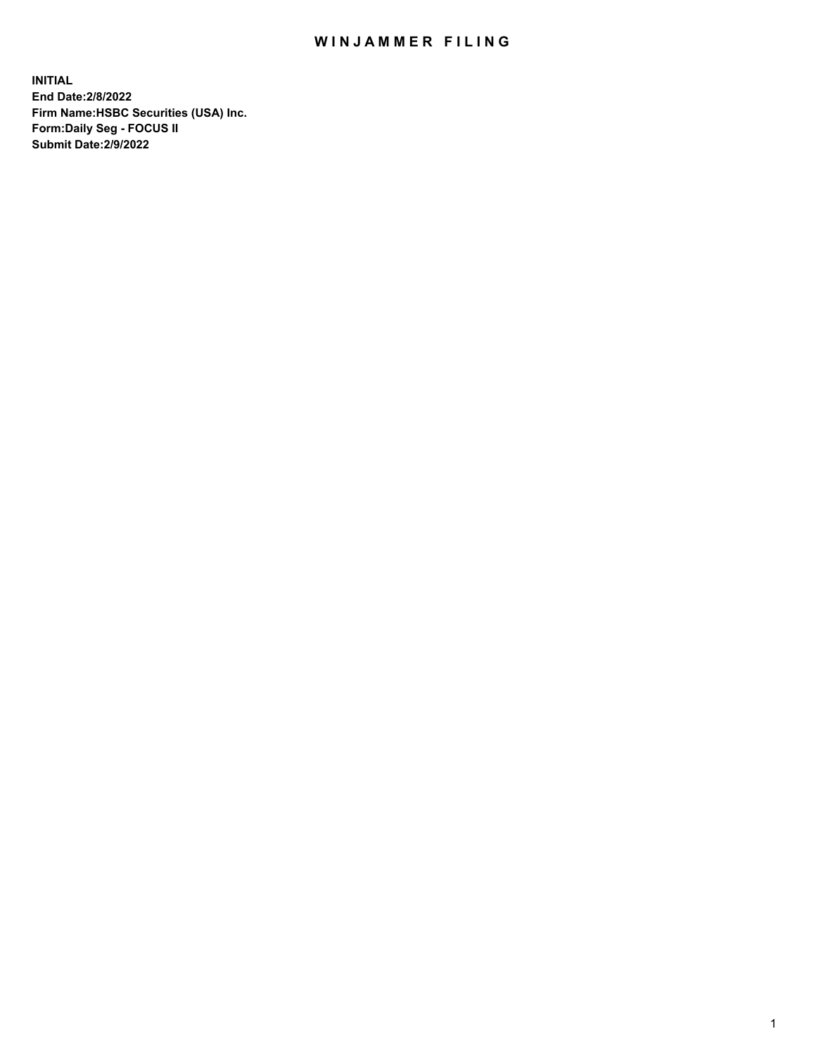## WIN JAMMER FILING

**INITIAL End Date:2/8/2022 Firm Name:HSBC Securities (USA) Inc. Form:Daily Seg - FOCUS II Submit Date:2/9/2022**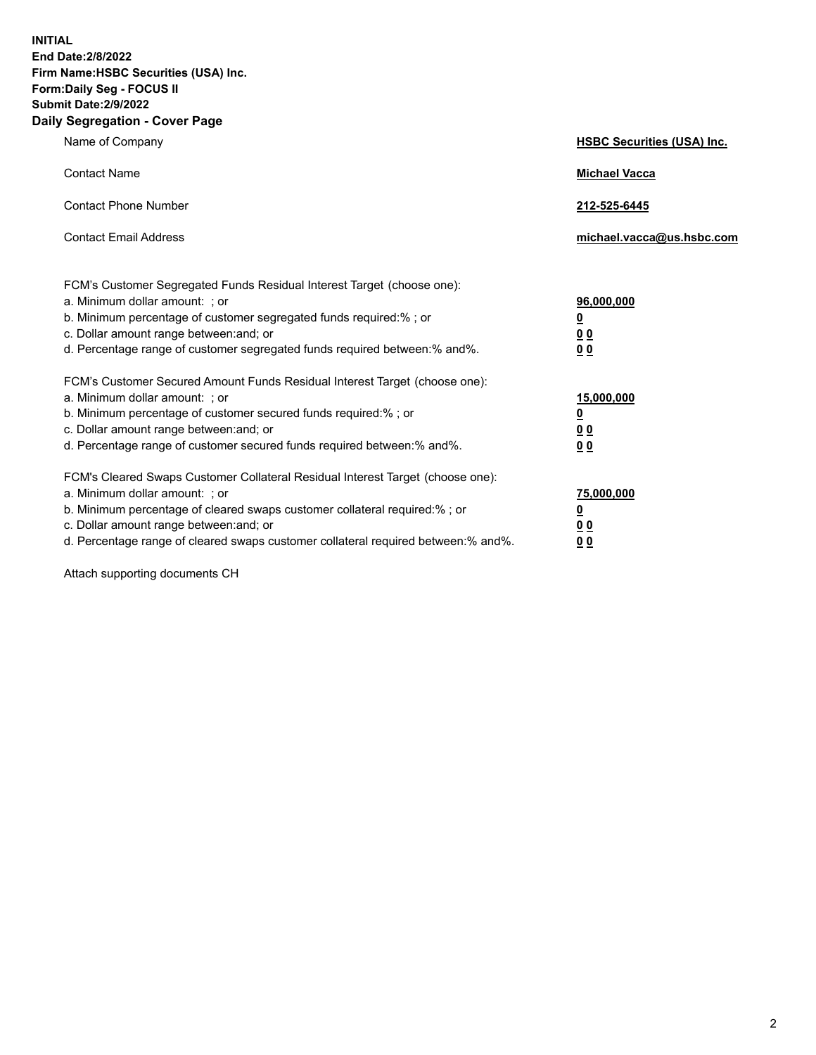**INITIAL End Date:2/8/2022 Firm Name:HSBC Securities (USA) Inc. Form:Daily Seg - FOCUS II Submit Date:2/9/2022 Daily Segregation - Cover Page**

| Name of Company                                                                                                                                                                                                                                                                                                                | <b>HSBC Securities (USA) Inc.</b>                          |
|--------------------------------------------------------------------------------------------------------------------------------------------------------------------------------------------------------------------------------------------------------------------------------------------------------------------------------|------------------------------------------------------------|
| <b>Contact Name</b>                                                                                                                                                                                                                                                                                                            | <b>Michael Vacca</b>                                       |
| <b>Contact Phone Number</b>                                                                                                                                                                                                                                                                                                    | 212-525-6445                                               |
| <b>Contact Email Address</b>                                                                                                                                                                                                                                                                                                   | michael.vacca@us.hsbc.com                                  |
| FCM's Customer Segregated Funds Residual Interest Target (choose one):<br>a. Minimum dollar amount: ; or<br>b. Minimum percentage of customer segregated funds required:% ; or<br>c. Dollar amount range between: and; or<br>d. Percentage range of customer segregated funds required between:% and%.                         | 96,000,000<br><u>0</u><br>0 <sub>0</sub><br>0 <sub>0</sub> |
| FCM's Customer Secured Amount Funds Residual Interest Target (choose one):<br>a. Minimum dollar amount: ; or<br>b. Minimum percentage of customer secured funds required:%; or<br>c. Dollar amount range between: and; or<br>d. Percentage range of customer secured funds required between:% and%.                            | 15,000,000<br><u>0</u><br>0 <sub>0</sub><br>00             |
| FCM's Cleared Swaps Customer Collateral Residual Interest Target (choose one):<br>a. Minimum dollar amount: ; or<br>b. Minimum percentage of cleared swaps customer collateral required:% ; or<br>c. Dollar amount range between: and; or<br>d. Percentage range of cleared swaps customer collateral required between:% and%. | 75,000,000<br><u>0</u><br><u>00</u><br>00                  |

Attach supporting documents CH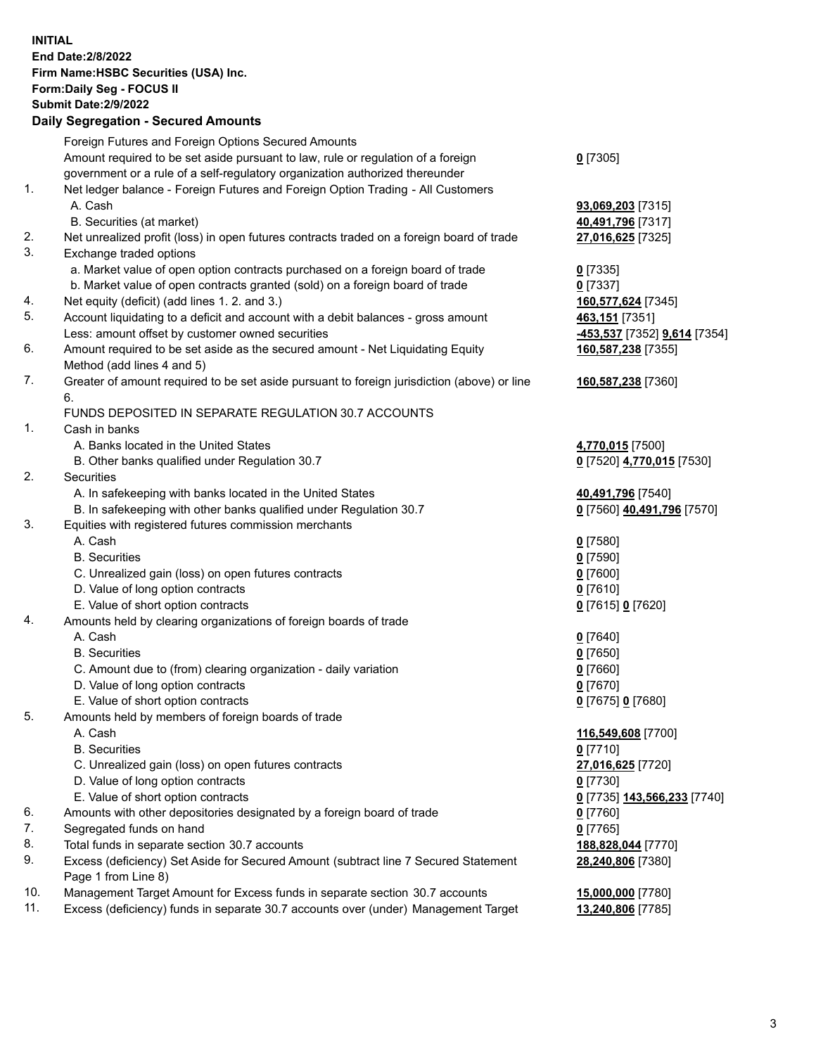**INITIAL End Date:2/8/2022 Firm Name:HSBC Securities (USA) Inc. Form:Daily Seg - FOCUS II Submit Date:2/9/2022 Daily Segregation - Secured Amounts** Foreign Futures and Foreign Options Secured Amounts Amount required to be set aside pursuant to law, rule or regulation of a foreign government or a rule of a self-regulatory organization authorized thereunder **0** [7305] 1. Net ledger balance - Foreign Futures and Foreign Option Trading - All Customers A. Cash **93,069,203** [7315] B. Securities (at market) **40,491,796** [7317] 2. Net unrealized profit (loss) in open futures contracts traded on a foreign board of trade **27,016,625** [7325] 3. Exchange traded options a. Market value of open option contracts purchased on a foreign board of trade **0** [7335] b. Market value of open contracts granted (sold) on a foreign board of trade **0** [7337] 4. Net equity (deficit) (add lines 1. 2. and 3.) **160,577,624** [7345] 5. Account liquidating to a deficit and account with a debit balances - gross amount **463,151** [7351] Less: amount offset by customer owned securities **-453,537** [7352] **9,614** [7354] 6. Amount required to be set aside as the secured amount - Net Liquidating Equity Method (add lines 4 and 5) **160,587,238** [7355] 7. Greater of amount required to be set aside pursuant to foreign jurisdiction (above) or line 6. **160,587,238** [7360] FUNDS DEPOSITED IN SEPARATE REGULATION 30.7 ACCOUNTS 1. Cash in banks A. Banks located in the United States **4,770,015** [7500] B. Other banks qualified under Regulation 30.7 **0** [7520] **4,770,015** [7530] 2. Securities A. In safekeeping with banks located in the United States **40,491,796** [7540] B. In safekeeping with other banks qualified under Regulation 30.7 **0** [7560] **40,491,796** [7570] 3. Equities with registered futures commission merchants A. Cash **0** [7580] B. Securities **0** [7590] C. Unrealized gain (loss) on open futures contracts **0** [7600] D. Value of long option contracts **0** [7610] E. Value of short option contracts **0** [7615] **0** [7620] 4. Amounts held by clearing organizations of foreign boards of trade A. Cash **0** [7640] B. Securities **0** [7650] C. Amount due to (from) clearing organization - daily variation **0** [7660] D. Value of long option contracts **0** [7670] E. Value of short option contracts **0** [7675] **0** [7680] 5. Amounts held by members of foreign boards of trade A. Cash **116,549,608** [7700] B. Securities **0** [7710] C. Unrealized gain (loss) on open futures contracts **27,016,625** [7720] D. Value of long option contracts **0** [7730] E. Value of short option contracts **0** [7735] **143,566,233** [7740] 6. Amounts with other depositories designated by a foreign board of trade **0** [7760] 7. Segregated funds on hand **0** [7765] 8. Total funds in separate section 30.7 accounts **188,828,044** [7770] 9. Excess (deficiency) Set Aside for Secured Amount (subtract line 7 Secured Statement Page 1 from Line 8) **28,240,806** [7380] 10. Management Target Amount for Excess funds in separate section 30.7 accounts **15,000,000** [7780] 11. Excess (deficiency) funds in separate 30.7 accounts over (under) Management Target **13,240,806** [7785]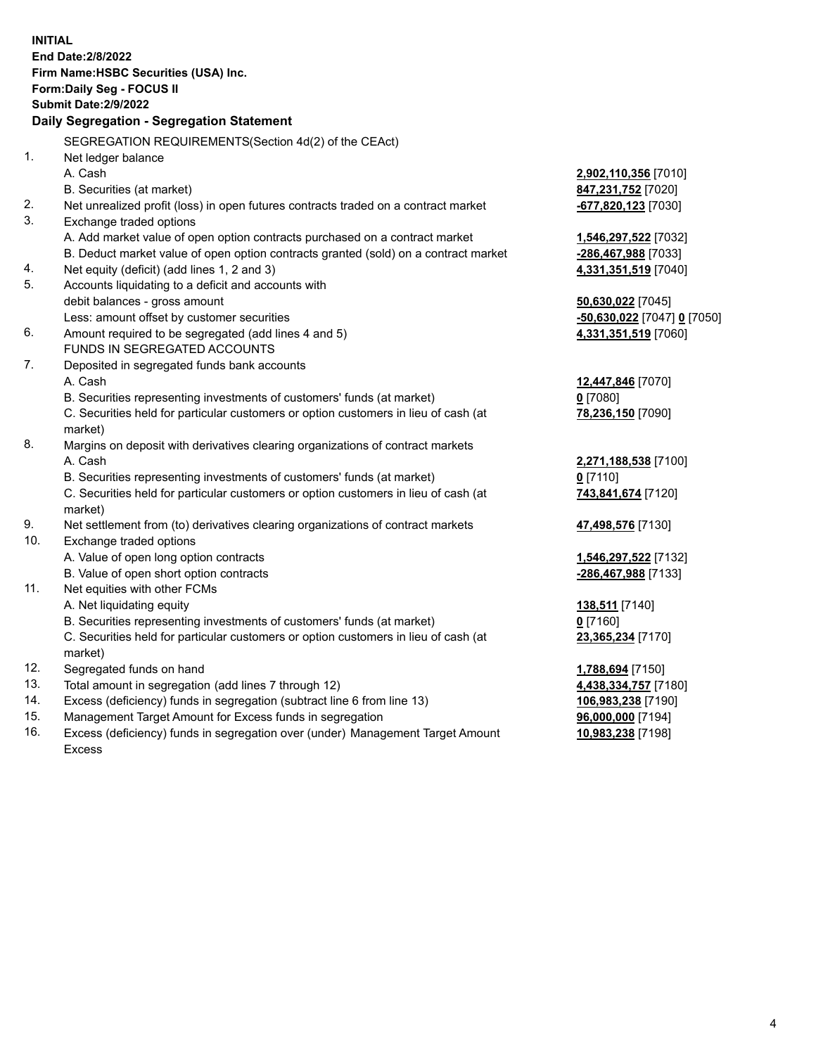|     | <b>INITIAL</b><br>End Date: 2/8/2022                                                           |                               |
|-----|------------------------------------------------------------------------------------------------|-------------------------------|
|     | Firm Name: HSBC Securities (USA) Inc.                                                          |                               |
|     | <b>Form:Daily Seg - FOCUS II</b>                                                               |                               |
|     | <b>Submit Date: 2/9/2022</b>                                                                   |                               |
|     | Daily Segregation - Segregation Statement                                                      |                               |
|     |                                                                                                |                               |
|     | SEGREGATION REQUIREMENTS (Section 4d(2) of the CEAct)                                          |                               |
| 1.  | Net ledger balance                                                                             |                               |
|     | A. Cash                                                                                        | 2,902,110,356 [7010]          |
|     | B. Securities (at market)                                                                      | 847,231,752 [7020]            |
| 2.  | Net unrealized profit (loss) in open futures contracts traded on a contract market             | -677,820,123 [7030]           |
| 3.  | Exchange traded options                                                                        |                               |
|     | A. Add market value of open option contracts purchased on a contract market                    | <u>1,546,297,522</u> [7032]   |
|     | B. Deduct market value of open option contracts granted (sold) on a contract market            | <u>-286,467,988</u> [7033]    |
| 4.  | Net equity (deficit) (add lines 1, 2 and 3)                                                    | 4,331,351,519 [7040]          |
| 5.  | Accounts liquidating to a deficit and accounts with                                            |                               |
|     | debit balances - gross amount                                                                  | 50,630,022 [7045]             |
| 6.  | Less: amount offset by customer securities                                                     | -50,630,022 [7047] 0 [7050]   |
|     | Amount required to be segregated (add lines 4 and 5)                                           | 4,331,351,519 [7060]          |
| 7.  | FUNDS IN SEGREGATED ACCOUNTS                                                                   |                               |
|     | Deposited in segregated funds bank accounts                                                    |                               |
|     | A. Cash                                                                                        | 12,447,846 [7070]             |
|     | B. Securities representing investments of customers' funds (at market)                         | 0 [7080]<br>78,236,150 [7090] |
|     | C. Securities held for particular customers or option customers in lieu of cash (at<br>market) |                               |
| 8.  | Margins on deposit with derivatives clearing organizations of contract markets                 |                               |
|     | A. Cash                                                                                        | 2,271,188,538 [7100]          |
|     | B. Securities representing investments of customers' funds (at market)                         | $0$ [7110]                    |
|     | C. Securities held for particular customers or option customers in lieu of cash (at            | 743,841,674 [7120]            |
|     | market)                                                                                        |                               |
| 9.  | Net settlement from (to) derivatives clearing organizations of contract markets                | 47,498,576 [7130]             |
| 10. | Exchange traded options                                                                        |                               |
|     | A. Value of open long option contracts                                                         | 1,546,297,522 [7132]          |
|     | B. Value of open short option contracts                                                        | -286,467,988 [7133]           |
| 11. | Net equities with other FCMs                                                                   |                               |
|     | A. Net liquidating equity                                                                      | 138,511 [7140]                |
|     | B. Securities representing investments of customers' funds (at market)                         | $0$ [7160]                    |
|     | C. Securities held for particular customers or option customers in lieu of cash (at            | 23,365,234 [7170]             |
|     | market)                                                                                        |                               |
| 12. | Segregated funds on hand                                                                       | 1,788,694 [7150]              |
| 13. | Total amount in segregation (add lines 7 through 12)                                           | 4,438,334,757 [7180]          |
| 14. | Excess (deficiency) funds in segregation (subtract line 6 from line 13)                        | 106,983,238 [7190]            |
| 15. | Management Target Amount for Excess funds in segregation                                       | 96,000,000 [7194]             |

16. Excess (deficiency) funds in segregation over (under) Management Target Amount Excess

**10,983,238** [7198]